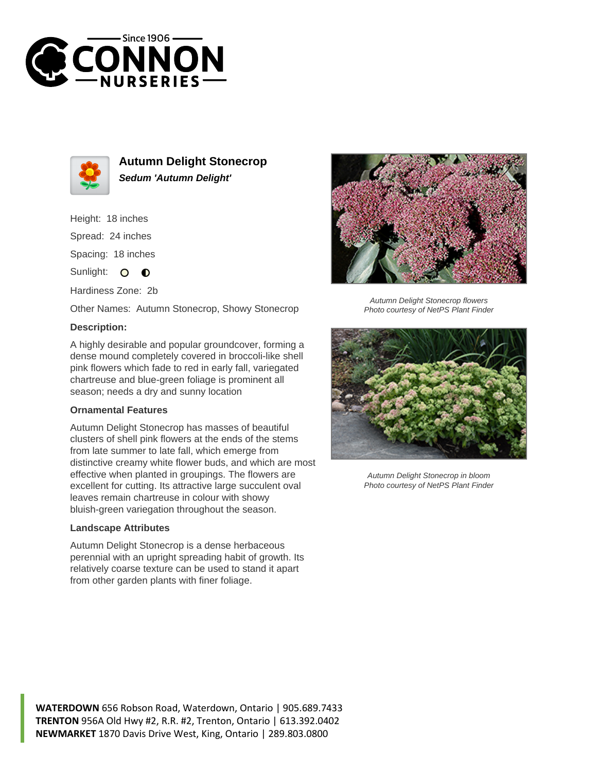



**Autumn Delight Stonecrop Sedum 'Autumn Delight'**

Height: 18 inches Spread: 24 inches Spacing: 18 inches Sunlight: O  $\bullet$ 

Hardiness Zone: 2b

Other Names: Autumn Stonecrop, Showy Stonecrop

## **Description:**

A highly desirable and popular groundcover, forming a dense mound completely covered in broccoli-like shell pink flowers which fade to red in early fall, variegated chartreuse and blue-green foliage is prominent all season; needs a dry and sunny location

## **Ornamental Features**

Autumn Delight Stonecrop has masses of beautiful clusters of shell pink flowers at the ends of the stems from late summer to late fall, which emerge from distinctive creamy white flower buds, and which are most effective when planted in groupings. The flowers are excellent for cutting. Its attractive large succulent oval leaves remain chartreuse in colour with showy bluish-green variegation throughout the season.

## **Landscape Attributes**

Autumn Delight Stonecrop is a dense herbaceous perennial with an upright spreading habit of growth. Its relatively coarse texture can be used to stand it apart from other garden plants with finer foliage.



Autumn Delight Stonecrop flowers Photo courtesy of NetPS Plant Finder



Autumn Delight Stonecrop in bloom Photo courtesy of NetPS Plant Finder

**WATERDOWN** 656 Robson Road, Waterdown, Ontario | 905.689.7433 **TRENTON** 956A Old Hwy #2, R.R. #2, Trenton, Ontario | 613.392.0402 **NEWMARKET** 1870 Davis Drive West, King, Ontario | 289.803.0800